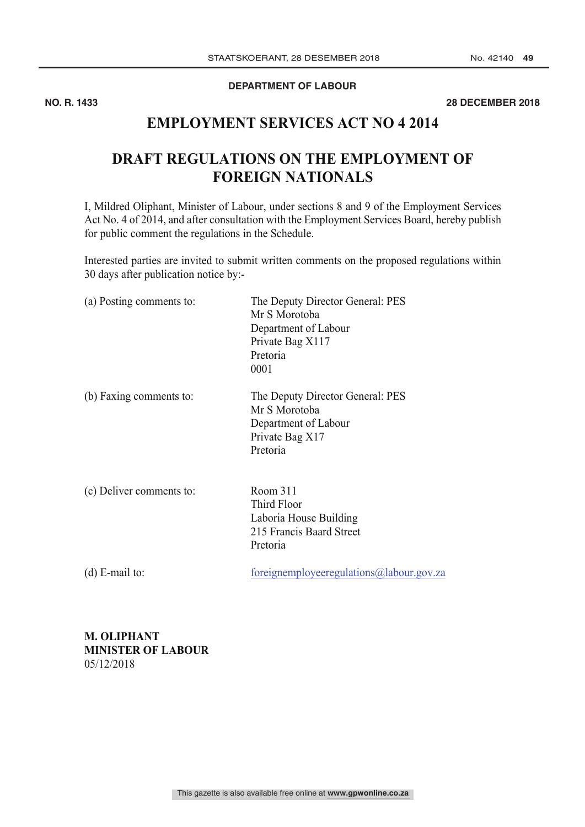### **DEPARTMENT OF LABOUR**

**NO. R. 1433 28 DECEMBER 2018**

## **EMPLOYMENT SERVICES ACT NO 4 2014**

# **DRAFT REGULATIONS ON THE EMPLOYMENT OF FOREIGN NATIONALS**

I, Mildred Oliphant, Minister of Labour, under sections 8 and 9 of the Employment Services Act No. 4 of 2014, and after consultation with the Employment Services Board, hereby publish for public comment the regulations in the Schedule.

Interested parties are invited to submit written comments on the proposed regulations within 30 days after publication notice by:-

| (a) Posting comments to: | The Deputy Director General: PES<br>Mr S Morotoba<br>Department of Labour<br>Private Bag X117<br>Pretoria<br>0001 |
|--------------------------|-------------------------------------------------------------------------------------------------------------------|
| (b) Faxing comments to:  | The Deputy Director General: PES<br>Mr S Morotoba<br>Department of Labour<br>Private Bag X17<br>Pretoria          |
| (c) Deliver comments to: | Room 311<br>Third Floor<br>Laboria House Building<br>215 Francis Baard Street<br>Pretoria                         |
| (d) $E$ -mail to:        | foreignemployeeregulations@labour.gov.za                                                                          |

**M. OLIPHANT MINISTER OF LABOUR** 05/12/2018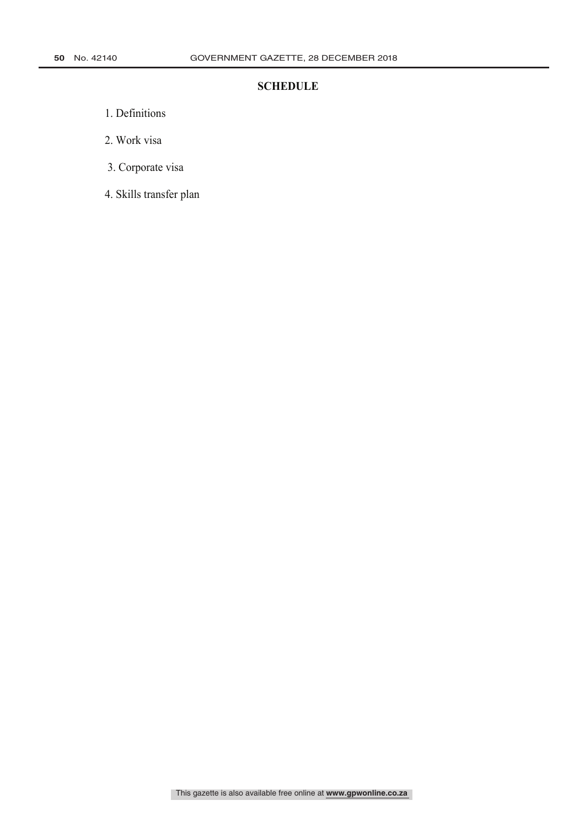### **SCHEDULE**

- 1. Definitions
- 2. Work visa
- 3. Corporate visa
- 4. Skills transfer plan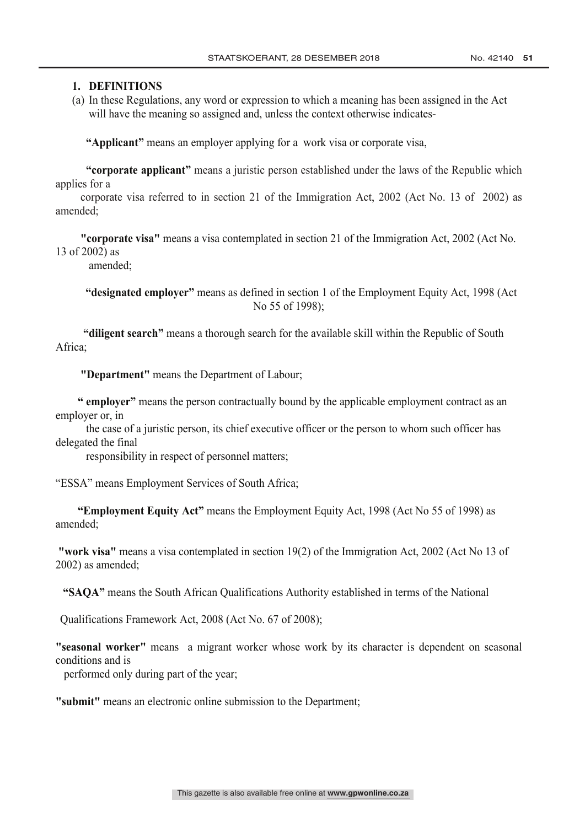### **1. DEFINITIONS**

(a) In these Regulations, any word or expression to which a meaning has been assigned in the Act will have the meaning so assigned and, unless the context otherwise indicates-

**"Applicant"** means an employer applying for a work visa or corporate visa,

**"corporate applicant"** means a juristic person established under the laws of the Republic which applies for a

 corporate visa referred to in section 21 of the Immigration Act, 2002 (Act No. 13 of 2002) as amended;

 **"corporate visa"** means a visa contemplated in section 21 of the Immigration Act, 2002 (Act No. 13 of 2002) as

amended;

 **"designated employer"** means as defined in section 1 of the Employment Equity Act, 1998 (Act No 55 of 1998);

 **"diligent search"** means a thorough search for the available skill within the Republic of South Africa;

 **"Department"** means the Department of Labour;

 **" employer"** means the person contractually bound by the applicable employment contract as an employer or, in

 the case of a juristic person, its chief executive officer or the person to whom such officer has delegated the final

responsibility in respect of personnel matters;

"ESSA" means Employment Services of South Africa;

 **"Employment Equity Act"** means the Employment Equity Act, 1998 (Act No 55 of 1998) as amended;

**"work visa"** means a visa contemplated in section 19(2) of the Immigration Act, 2002 (Act No 13 of 2002) as amended;

**"SAQA"** means the South African Qualifications Authority established in terms of the National

Qualifications Framework Act, 2008 (Act No. 67 of 2008);

**"seasonal worker"** means a migrant worker whose work by its character is dependent on seasonal conditions and is

performed only during part of the year;

**"submit"** means an electronic online submission to the Department;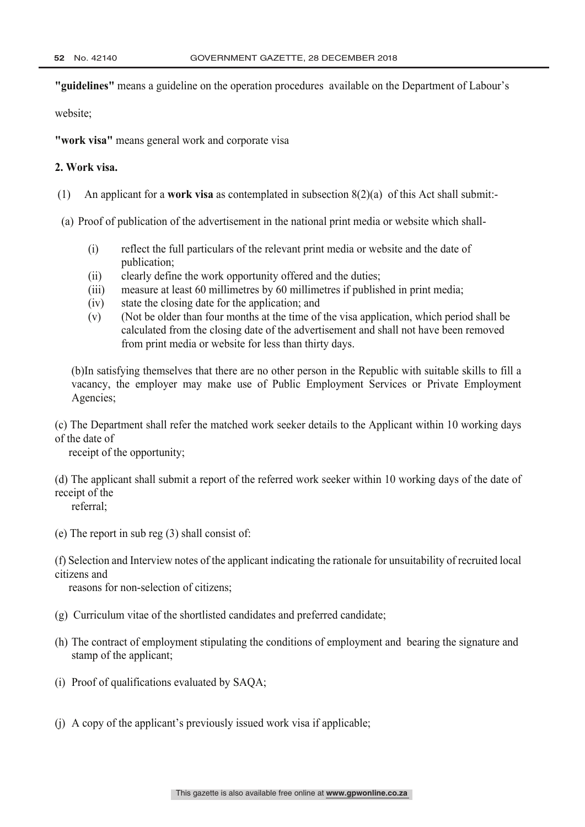**"guidelines"** means a guideline on the operation procedures available on the Department of Labour's

website;

**"work visa"** means general work and corporate visa

### **2. Work visa.**

- (1) An applicant for a **work visa** as contemplated in subsection 8(2)(a) of this Act shall submit:-
- (a) Proof of publication of the advertisement in the national print media or website which shall-
	- (i) reflect the full particulars of the relevant print media or website and the date of publication;
	- (ii) clearly define the work opportunity offered and the duties;
	- (iii) measure at least 60 millimetres by 60 millimetres if published in print media;
	- (iv) state the closing date for the application; and
	- (v) (Not be older than four months at the time of the visa application, which period shall be calculated from the closing date of the advertisement and shall not have been removed from print media or website for less than thirty days.

(b)In satisfying themselves that there are no other person in the Republic with suitable skills to fill a vacancy, the employer may make use of Public Employment Services or Private Employment Agencies;

(c) The Department shall refer the matched work seeker details to the Applicant within 10 working days of the date of

receipt of the opportunity;

- (d) The applicant shall submit a report of the referred work seeker within 10 working days of the date of receipt of the referral;
- (e) The report in sub reg (3) shall consist of:

(f) Selection and Interview notes of the applicant indicating the rationale for unsuitability of recruited local citizens and

reasons for non-selection of citizens;

- (g) Curriculum vitae of the shortlisted candidates and preferred candidate;
- (h) The contract of employment stipulating the conditions of employment and bearing the signature and stamp of the applicant;
- (i) Proof of qualifications evaluated by SAQA;
- (j) A copy of the applicant's previously issued work visa if applicable;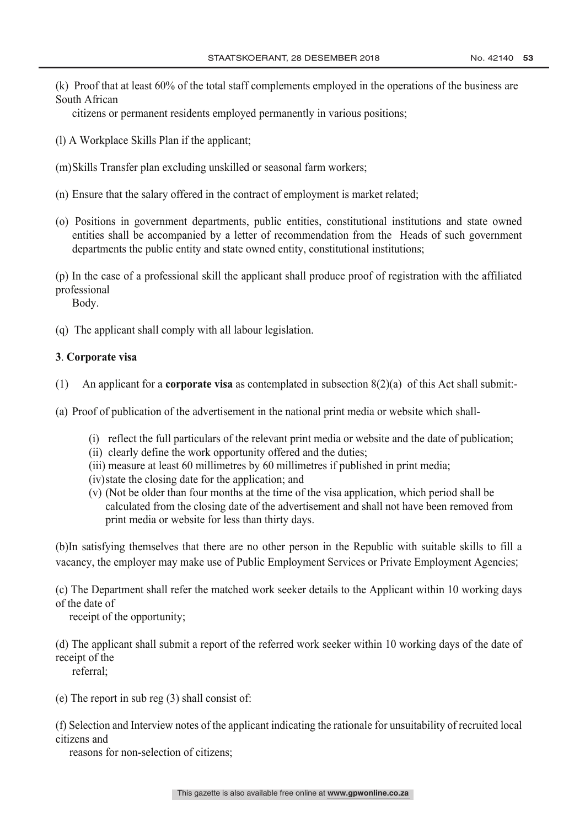(k) Proof that at least 60% of the total staff complements employed in the operations of the business are South African

citizens or permanent residents employed permanently in various positions;

- (l) A Workplace Skills Plan if the applicant;
- (m)Skills Transfer plan excluding unskilled or seasonal farm workers;
- (n) Ensure that the salary offered in the contract of employment is market related;
- (o) Positions in government departments, public entities, constitutional institutions and state owned entities shall be accompanied by a letter of recommendation from the Heads of such government departments the public entity and state owned entity, constitutional institutions;

(p) In the case of a professional skill the applicant shall produce proof of registration with the affiliated professional

Body.

(q) The applicant shall comply with all labour legislation.

### **3**. **Corporate visa**

- (1) An applicant for a **corporate visa** as contemplated in subsection 8(2)(a) of this Act shall submit:-
- (a) Proof of publication of the advertisement in the national print media or website which shall-
	- (i) reflect the full particulars of the relevant print media or website and the date of publication;
	- (ii) clearly define the work opportunity offered and the duties;
	- (iii) measure at least 60 millimetres by 60 millimetres if published in print media;
	- (iv)state the closing date for the application; and
	- (v) (Not be older than four months at the time of the visa application, which period shall be calculated from the closing date of the advertisement and shall not have been removed from print media or website for less than thirty days.

(b)In satisfying themselves that there are no other person in the Republic with suitable skills to fill a vacancy, the employer may make use of Public Employment Services or Private Employment Agencies;

(c) The Department shall refer the matched work seeker details to the Applicant within 10 working days of the date of

receipt of the opportunity;

(d) The applicant shall submit a report of the referred work seeker within 10 working days of the date of receipt of the

referral;

(e) The report in sub reg (3) shall consist of:

(f) Selection and Interview notes of the applicant indicating the rationale for unsuitability of recruited local citizens and

reasons for non-selection of citizens;